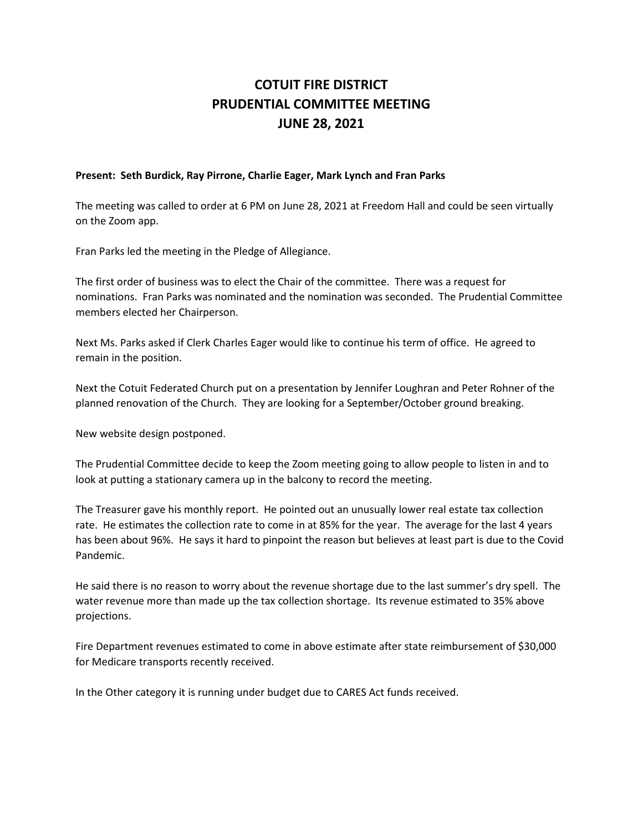## **COTUIT FIRE DISTRICT PRUDENTIAL COMMITTEE MEETING JUNE 28, 2021**

## **Present: Seth Burdick, Ray Pirrone, Charlie Eager, Mark Lynch and Fran Parks**

The meeting was called to order at 6 PM on June 28, 2021 at Freedom Hall and could be seen virtually on the Zoom app.

Fran Parks led the meeting in the Pledge of Allegiance.

The first order of business was to elect the Chair of the committee. There was a request for nominations. Fran Parks was nominated and the nomination was seconded. The Prudential Committee members elected her Chairperson.

Next Ms. Parks asked if Clerk Charles Eager would like to continue his term of office. He agreed to remain in the position.

Next the Cotuit Federated Church put on a presentation by Jennifer Loughran and Peter Rohner of the planned renovation of the Church. They are looking for a September/October ground breaking.

New website design postponed.

The Prudential Committee decide to keep the Zoom meeting going to allow people to listen in and to look at putting a stationary camera up in the balcony to record the meeting.

The Treasurer gave his monthly report. He pointed out an unusually lower real estate tax collection rate. He estimates the collection rate to come in at 85% for the year. The average for the last 4 years has been about 96%. He says it hard to pinpoint the reason but believes at least part is due to the Covid Pandemic.

He said there is no reason to worry about the revenue shortage due to the last summer's dry spell. The water revenue more than made up the tax collection shortage. Its revenue estimated to 35% above projections.

Fire Department revenues estimated to come in above estimate after state reimbursement of \$30,000 for Medicare transports recently received.

In the Other category it is running under budget due to CARES Act funds received.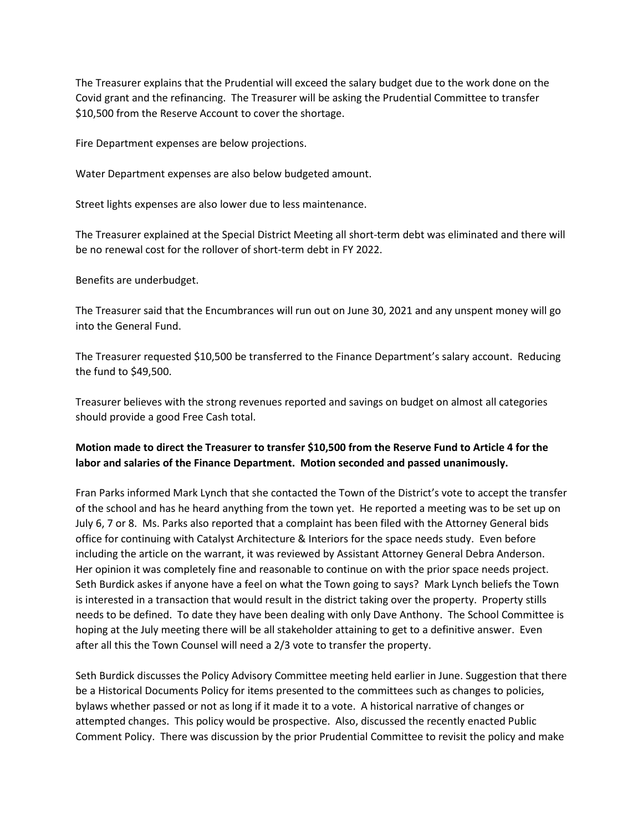The Treasurer explains that the Prudential will exceed the salary budget due to the work done on the Covid grant and the refinancing. The Treasurer will be asking the Prudential Committee to transfer \$10,500 from the Reserve Account to cover the shortage.

Fire Department expenses are below projections.

Water Department expenses are also below budgeted amount.

Street lights expenses are also lower due to less maintenance.

The Treasurer explained at the Special District Meeting all short-term debt was eliminated and there will be no renewal cost for the rollover of short-term debt in FY 2022.

Benefits are underbudget.

The Treasurer said that the Encumbrances will run out on June 30, 2021 and any unspent money will go into the General Fund.

The Treasurer requested \$10,500 be transferred to the Finance Department's salary account. Reducing the fund to \$49,500.

Treasurer believes with the strong revenues reported and savings on budget on almost all categories should provide a good Free Cash total.

## **Motion made to direct the Treasurer to transfer \$10,500 from the Reserve Fund to Article 4 for the labor and salaries of the Finance Department. Motion seconded and passed unanimously.**

Fran Parks informed Mark Lynch that she contacted the Town of the District's vote to accept the transfer of the school and has he heard anything from the town yet. He reported a meeting was to be set up on July 6, 7 or 8. Ms. Parks also reported that a complaint has been filed with the Attorney General bids office for continuing with Catalyst Architecture & Interiors for the space needs study. Even before including the article on the warrant, it was reviewed by Assistant Attorney General Debra Anderson. Her opinion it was completely fine and reasonable to continue on with the prior space needs project. Seth Burdick askes if anyone have a feel on what the Town going to says? Mark Lynch beliefs the Town is interested in a transaction that would result in the district taking over the property. Property stills needs to be defined. To date they have been dealing with only Dave Anthony. The School Committee is hoping at the July meeting there will be all stakeholder attaining to get to a definitive answer. Even after all this the Town Counsel will need a 2/3 vote to transfer the property.

Seth Burdick discusses the Policy Advisory Committee meeting held earlier in June. Suggestion that there be a Historical Documents Policy for items presented to the committees such as changes to policies, bylaws whether passed or not as long if it made it to a vote. A historical narrative of changes or attempted changes. This policy would be prospective. Also, discussed the recently enacted Public Comment Policy. There was discussion by the prior Prudential Committee to revisit the policy and make